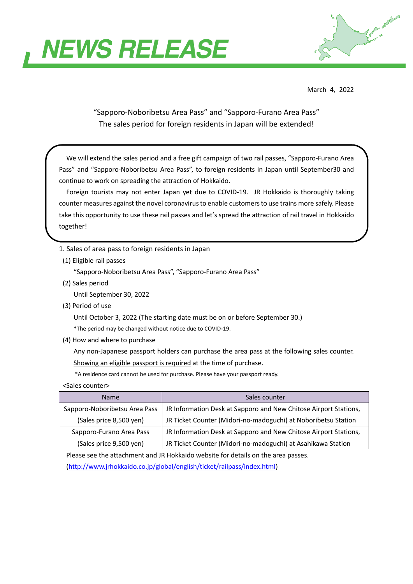



March 4, 2022

"Sapporo-Noboribetsu Area Pass" and "Sapporo-Furano Area Pass" The sales period for foreign residents in Japan will be extended!

We will extend the sales period and a free gift campaign of two rail passes, "Sapporo-Furano Area Pass" and "Sapporo-Noboribetsu Area Pass", to foreign residents in Japan until September30 and continue to work on spreading the attraction of Hokkaido.

Foreign tourists may not enter Japan yet due to COVID-19. JR Hokkaido is thoroughly taking counter measures against the novel coronavirus to enable customers to use trains more safely. Please take this opportunity to use these rail passes and let's spread the attraction of rail travel in Hokkaido together!

1. Sales of area pass to foreign residents in Japan

(1) Eligible rail passes

"Sapporo-Noboribetsu Area Pass", "Sapporo-Furano Area Pass"

(2) Sales period

Until September 30, 2022

(3) Period of use

Until October 3, 2022 (The starting date must be on or before September 30.)

\*The period may be changed without notice due to COVID-19.

(4) How and where to purchase

 Any non-Japanese passport holders can purchase the area pass at the following sales counter. Showing an eligible passport is required at the time of purchase.

\*A residence card cannot be used for purchase. Please have your passport ready.

<Sales counter>

| <b>Name</b>                   | Sales counter                                                    |
|-------------------------------|------------------------------------------------------------------|
| Sapporo-Noboribetsu Area Pass | JR Information Desk at Sapporo and New Chitose Airport Stations, |
| (Sales price 8,500 yen)       | JR Ticket Counter (Midori-no-madoguchi) at Noboribetsu Station   |
| Sapporo-Furano Area Pass      | JR Information Desk at Sapporo and New Chitose Airport Stations, |
| (Sales price 9,500 yen)       | JR Ticket Counter (Midori-no-madoguchi) at Asahikawa Station     |

Please see the attachment and JR Hokkaido website for details on the area passes.

[\(http://www.jrhokkaido.co.jp/global/english/ticket/railpass/index.html\)](http://www.jrhokkaido.co.jp/global/english/ticket/railpass/index.html)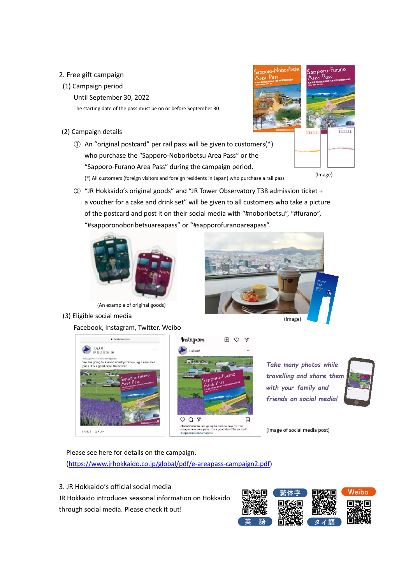## 2. Free gift campaign

## (1) Campaign period

Until September 30, 2022

The starting date of the pass must be on or before September 30.

- (2) Campaign details
	- ① An "original postcard" per rail pass will be given to customers(\*) who purchase the "Sapporo-Noboribetsu Area Pass" or the "Sapporo-Furano Area Pass" during the campaign period. (\*) All customers (foreign visitors and foreign residents in Japan) who purchase a rail pass



(Image)

② "JR Hokkaido's original goods" and "JR Tower Observatory T38 admission ticket + a voucher for a cake and drink set" will be given to all customers who take a picture of the postcard and post it on their social media with "#noboribetsu", "#furano", "#sapporonoboribetsuareapass" or "#sapporofuranoareapass".





(3) Eligible social media

Facebook, Instagram, Twitter, Weibo





WHAT JXYN



*Take many photos while travelling and share them with your family and friends on social media!*



(Image of social media post)

Please see here for details on the campaign.

[\(https://www.jrhokkaido.co.jp/global/pdf/e-areapass-campaign2.pdf\)](https://www.jrhokkaido.co.jp/global/pdf/e-areapass-campaign2.pdf)

3. JR Hokkaido's official social media

JR Hokkaido introduces seasonal information on Hokkaido through social media. Please check it out!